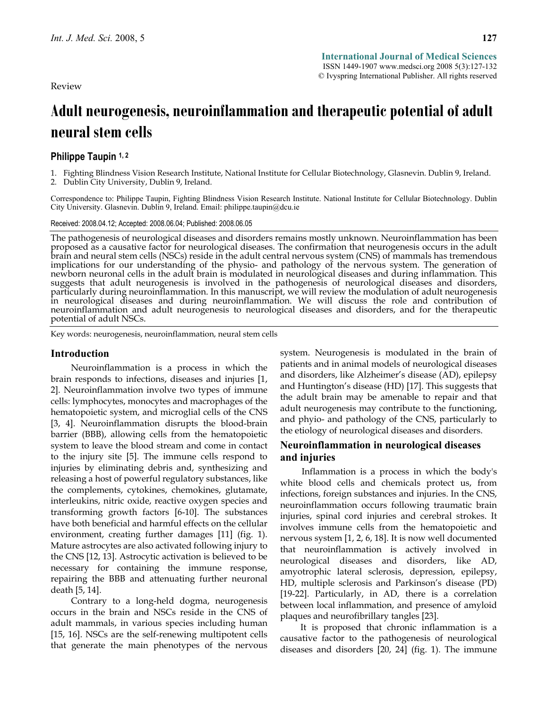Review

© Ivyspring International Publisher. All rights reserved

# **Adult neurogenesis, neuroinflammation and therapeutic potential of adult neural stem cells**

## **Philippe Taupin 1, 2**

1. Fighting Blindness Vision Research Institute, National Institute for Cellular Biotechnology, Glasnevin. Dublin 9, Ireland.

2. Dublin City University, Dublin 9, Ireland.

Correspondence to: Philippe Taupin, Fighting Blindness Vision Research Institute. National Institute for Cellular Biotechnology. Dublin City University. Glasnevin. Dublin 9, Ireland. Email: philippe.taupin@dcu.ie

#### Received: 2008.04.12; Accepted: 2008.06.04; Published: 2008.06.05

The pathogenesis of neurological diseases and disorders remains mostly unknown. Neuroinflammation has been<br>proposed as a causative factor for neurological diseases. The confirmation that neurogenesis occurs in the adult<br>br newborn neuronal cells in the adult brain is modulated in neurological diseases and during inflammation. This suggests that adult neurogenesis is involved in the pathogenesis of neurological diseases and disorders, particularly during neuroinflammation. In this manuscript, we will review the modulation of adult neurogenesis<br>in neurological diseases and during neuroinflammation. We will discuss the role and contribution of neuroinflammation and adult neurogenesis to neurological diseases and disorders, and for the therapeutic potential of adult NSCs.

Key words: neurogenesis, neuroinflammation, neural stem cells

#### **Introduction**

Neuroinflammation is a process in which the brain responds to infections, diseases and injuries [1, 2]. Neuroinflammation involve two types of immune cells: lymphocytes, monocytes and macrophages of the hematopoietic system, and microglial cells of the CNS [3, 4]. Neuroinflammation disrupts the blood-brain barrier (BBB), allowing cells from the hematopoietic system to leave the blood stream and come in contact to the injury site [5]. The immune cells respond to injuries by eliminating debris and, synthesizing and releasing a host of powerful regulatory substances, like the complements, cytokines, chemokines, glutamate, interleukins, nitric oxide, reactive oxygen species and transforming growth factors [6-10]. The substances have both beneficial and harmful effects on the cellular environment, creating further damages [11] (fig. 1). Mature astrocytes are also activated following injury to the CNS [12, 13]. Astrocytic activation is believed to be necessary for containing the immune response, repairing the BBB and attenuating further neuronal death [5, 14].

Contrary to a long-held dogma, neurogenesis occurs in the brain and NSCs reside in the CNS of adult mammals, in various species including human [15, 16]. NSCs are the self-renewing multipotent cells that generate the main phenotypes of the nervous system. Neurogenesis is modulated in the brain of patients and in animal models of neurological diseases and disorders, like Alzheimer's disease (AD), epilepsy and Huntington's disease (HD) [17]. This suggests that the adult brain may be amenable to repair and that adult neurogenesis may contribute to the functioning, and phyio- and pathology of the CNS, particularly to the etiology of neurological diseases and disorders.

# **Neuroinflammation in neurological diseases and injuries**

 Inflammation is a process in which the body's white blood cells and chemicals protect us, from infections, foreign substances and injuries. In the CNS, neuroinflammation occurs following traumatic brain injuries, spinal cord injuries and cerebral strokes. It involves immune cells from the hematopoietic and nervous system [1, 2, 6, 18]. It is now well documented that neuroinflammation is actively involved in neurological diseases and disorders, like AD, amyotrophic lateral sclerosis, depression, epilepsy, HD, multiple sclerosis and Parkinson's disease (PD) [19-22]. Particularly, in AD, there is a correlation between local inflammation, and presence of amyloid plaques and neurofibrillary tangles [23].

It is proposed that chronic inflammation is a causative factor to the pathogenesis of neurological diseases and disorders [20, 24] (fig. 1). The immune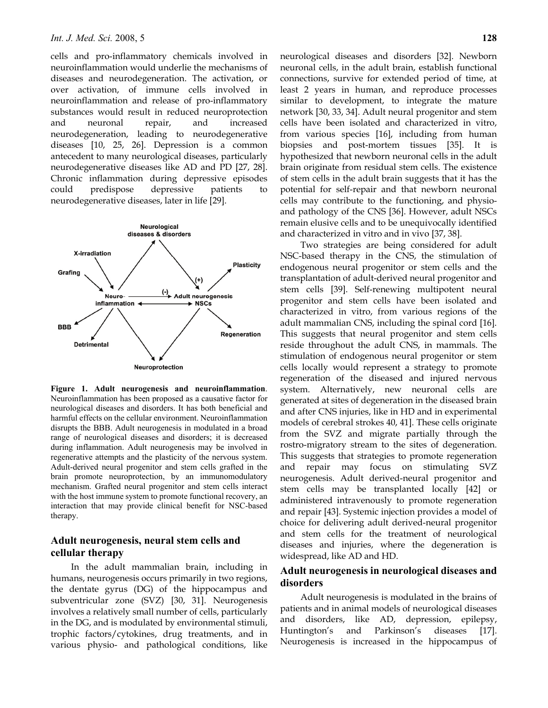cells and pro-inflammatory chemicals involved in neuroinflammation would underlie the mechanisms of diseases and neurodegeneration. The activation, or over activation, of immune cells involved in neuroinflammation and release of pro-inflammatory substances would result in reduced neuroprotection and neuronal repair, and increased neurodegeneration, leading to neurodegenerative diseases [10, 25, 26]. Depression is a common antecedent to many neurological diseases, particularly neurodegenerative diseases like AD and PD [27, 28]. Chronic inflammation during depressive episodes could predispose depressive patients to neurodegenerative diseases, later in life [29].



**Figure 1. Adult neurogenesis and neuroinflammation**. Neuroinflammation has been proposed as a causative factor for neurological diseases and disorders. It has both beneficial and harmful effects on the cellular environment. Neuroinflammation disrupts the BBB. Adult neurogenesis in modulated in a broad range of neurological diseases and disorders; it is decreased during inflammation. Adult neurogenesis may be involved in regenerative attempts and the plasticity of the nervous system. Adult-derived neural progenitor and stem cells grafted in the brain promote neuroprotection, by an immunomodulatory mechanism. Grafted neural progenitor and stem cells interact with the host immune system to promote functional recovery, an interaction that may provide clinical benefit for NSC-based therapy.

# **Adult neurogenesis, neural stem cells and cellular therapy**

In the adult mammalian brain, including in humans, neurogenesis occurs primarily in two regions, the dentate gyrus (DG) of the hippocampus and subventricular zone (SVZ) [30, 31]. Neurogenesis involves a relatively small number of cells, particularly in the DG, and is modulated by environmental stimuli, trophic factors/cytokines, drug treatments, and in various physio- and pathological conditions, like neurological diseases and disorders [32]. Newborn neuronal cells, in the adult brain, establish functional connections, survive for extended period of time, at least 2 years in human, and reproduce processes similar to development, to integrate the mature network [30, 33, 34]. Adult neural progenitor and stem cells have been isolated and characterized in vitro, from various species [16], including from human biopsies and post-mortem tissues [35]. It is hypothesized that newborn neuronal cells in the adult brain originate from residual stem cells. The existence of stem cells in the adult brain suggests that it has the potential for self-repair and that newborn neuronal cells may contribute to the functioning, and physioand pathology of the CNS [36]. However, adult NSCs remain elusive cells and to be unequivocally identified and characterized in vitro and in vivo [37, 38].

Two strategies are being considered for adult NSC-based therapy in the CNS, the stimulation of endogenous neural progenitor or stem cells and the transplantation of adult-derived neural progenitor and stem cells [39]. Self-renewing multipotent neural progenitor and stem cells have been isolated and characterized in vitro, from various regions of the adult mammalian CNS, including the spinal cord [16]. This suggests that neural progenitor and stem cells reside throughout the adult CNS, in mammals. The stimulation of endogenous neural progenitor or stem cells locally would represent a strategy to promote regeneration of the diseased and injured nervous system. Alternatively, new neuronal cells are generated at sites of degeneration in the diseased brain and after CNS injuries, like in HD and in experimental models of cerebral strokes 40, 41]. These cells originate from the SVZ and migrate partially through the rostro-migratory stream to the sites of degeneration. This suggests that strategies to promote regeneration and repair may focus on stimulating SVZ neurogenesis. Adult derived-neural progenitor and stem cells may be transplanted locally [42] or administered intravenously to promote regeneration and repair [43]. Systemic injection provides a model of choice for delivering adult derived-neural progenitor and stem cells for the treatment of neurological diseases and injuries, where the degeneration is widespread, like AD and HD.

# **Adult neurogenesis in neurological diseases and disorders**

Adult neurogenesis is modulated in the brains of patients and in animal models of neurological diseases and disorders, like AD, depression, epilepsy, Huntington's and Parkinson's diseases [17]. Neurogenesis is increased in the hippocampus of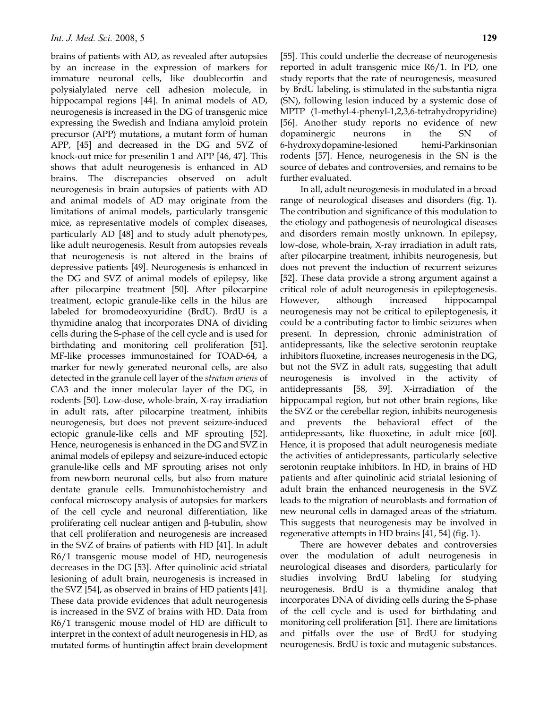brains of patients with AD, as revealed after autopsies by an increase in the expression of markers for immature neuronal cells, like doublecortin and polysialylated nerve cell adhesion molecule, in hippocampal regions [44]. In animal models of AD, neurogenesis is increased in the DG of transgenic mice expressing the Swedish and Indiana amyloid protein precursor (APP) mutations, a mutant form of human APP, [45] and decreased in the DG and SVZ of knock-out mice for presenilin 1 and APP [46, 47]. This shows that adult neurogenesis is enhanced in AD brains. The discrepancies observed on adult neurogenesis in brain autopsies of patients with AD and animal models of AD may originate from the limitations of animal models, particularly transgenic mice, as representative models of complex diseases, particularly AD [48] and to study adult phenotypes, like adult neurogenesis. Result from autopsies reveals that neurogenesis is not altered in the brains of depressive patients [49]. Neurogenesis is enhanced in the DG and SVZ of animal models of epilepsy, like after pilocarpine treatment [50]. After pilocarpine treatment, ectopic granule-like cells in the hilus are labeled for bromodeoxyuridine (BrdU). BrdU is a thymidine analog that incorporates DNA of dividing cells during the S-phase of the cell cycle and is used for birthdating and monitoring cell proliferation [51]. MF-like processes immunostained for TOAD-64, a marker for newly generated neuronal cells, are also detected in the granule cell layer of the *stratum oriens* of CA3 and the inner molecular layer of the DG, in rodents [50]. Low-dose, whole-brain, X-ray irradiation in adult rats, after pilocarpine treatment, inhibits neurogenesis, but does not prevent seizure-induced ectopic granule-like cells and MF sprouting [52]. Hence, neurogenesis is enhanced in the DG and SVZ in animal models of epilepsy and seizure-induced ectopic granule-like cells and MF sprouting arises not only from newborn neuronal cells, but also from mature dentate granule cells. Immunohistochemistry and confocal microscopy analysis of autopsies for markers of the cell cycle and neuronal differentiation, like proliferating cell nuclear antigen and β-tubulin, show that cell proliferation and neurogenesis are increased in the SVZ of brains of patients with HD [41]. In adult R6/1 transgenic mouse model of HD, neurogenesis decreases in the DG [53]. After quinolinic acid striatal lesioning of adult brain, neurogenesis is increased in the SVZ [54], as observed in brains of HD patients [41]. These data provide evidences that adult neurogenesis is increased in the SVZ of brains with HD. Data from R6/1 transgenic mouse model of HD are difficult to interpret in the context of adult neurogenesis in HD, as mutated forms of huntingtin affect brain development [55]. This could underlie the decrease of neurogenesis reported in adult transgenic mice R6/1. In PD, one study reports that the rate of neurogenesis, measured by BrdU labeling, is stimulated in the substantia nigra (SN), following lesion induced by a systemic dose of MPTP (1-methyl-4-phenyl-1,2,3,6-tetrahydropyridine) [56]. Another study reports no evidence of new dopaminergic neurons in the SN of 6-hydroxydopamine-lesioned hemi-Parkinsonian rodents [57]. Hence, neurogenesis in the SN is the source of debates and controversies, and remains to be further evaluated.

In all, adult neurogenesis in modulated in a broad range of neurological diseases and disorders (fig. 1). The contribution and significance of this modulation to the etiology and pathogenesis of neurological diseases and disorders remain mostly unknown. In epilepsy, low-dose, whole-brain, X-ray irradiation in adult rats, after pilocarpine treatment, inhibits neurogenesis, but does not prevent the induction of recurrent seizures [52]. These data provide a strong argument against a critical role of adult neurogenesis in epileptogenesis. However, although increased hippocampal neurogenesis may not be critical to epileptogenesis, it could be a contributing factor to limbic seizures when present. In depression, chronic administration of antidepressants, like the selective serotonin reuptake inhibitors fluoxetine, increases neurogenesis in the DG, but not the SVZ in adult rats, suggesting that adult neurogenesis is involved in the activity of antidepressants [58, 59]. X-irradiation of the hippocampal region, but not other brain regions, like the SVZ or the cerebellar region, inhibits neurogenesis and prevents the behavioral effect of the antidepressants, like fluoxetine, in adult mice [60]. Hence, it is proposed that adult neurogenesis mediate the activities of antidepressants, particularly selective serotonin reuptake inhibitors. In HD, in brains of HD patients and after quinolinic acid striatal lesioning of adult brain the enhanced neurogenesis in the SVZ leads to the migration of neuroblasts and formation of new neuronal cells in damaged areas of the striatum. This suggests that neurogenesis may be involved in regenerative attempts in HD brains [41, 54] (fig. 1).

There are however debates and controversies over the modulation of adult neurogenesis in neurological diseases and disorders, particularly for studies involving BrdU labeling for studying neurogenesis. BrdU is a thymidine analog that incorporates DNA of dividing cells during the S-phase of the cell cycle and is used for birthdating and monitoring cell proliferation [51]. There are limitations and pitfalls over the use of BrdU for studying neurogenesis. BrdU is toxic and mutagenic substances.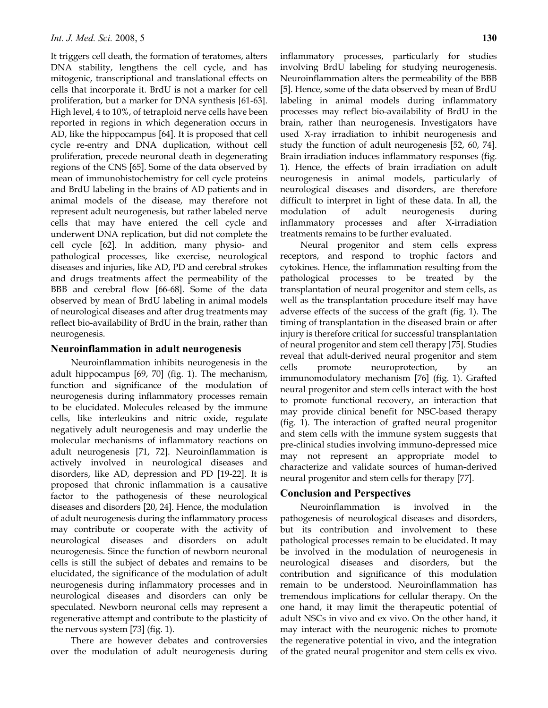It triggers cell death, the formation of teratomes, alters DNA stability, lengthens the cell cycle, and has mitogenic, transcriptional and translational effects on cells that incorporate it. BrdU is not a marker for cell proliferation, but a marker for DNA synthesis [61-63]. High level, 4 to 10%, of tetraploid nerve cells have been reported in regions in which degeneration occurs in AD, like the hippocampus [64]. It is proposed that cell cycle re-entry and DNA duplication, without cell proliferation, precede neuronal death in degenerating regions of the CNS [65]. Some of the data observed by mean of immunohistochemistry for cell cycle proteins and BrdU labeling in the brains of AD patients and in animal models of the disease, may therefore not represent adult neurogenesis, but rather labeled nerve cells that may have entered the cell cycle and underwent DNA replication, but did not complete the cell cycle [62]. In addition, many physio- and pathological processes, like exercise, neurological diseases and injuries, like AD, PD and cerebral strokes and drugs treatments affect the permeability of the BBB and cerebral flow [66-68]. Some of the data observed by mean of BrdU labeling in animal models of neurological diseases and after drug treatments may reflect bio-availability of BrdU in the brain, rather than neurogenesis.

#### **Neuroinflammation in adult neurogenesis**

Neuroinflammation inhibits neurogenesis in the adult hippocampus [69, 70] (fig. 1). The mechanism, function and significance of the modulation of neurogenesis during inflammatory processes remain to be elucidated. Molecules released by the immune cells, like interleukins and nitric oxide, regulate negatively adult neurogenesis and may underlie the molecular mechanisms of inflammatory reactions on adult neurogenesis [71, 72]. Neuroinflammation is actively involved in neurological diseases and disorders, like AD, depression and PD [19-22]. It is proposed that chronic inflammation is a causative factor to the pathogenesis of these neurological diseases and disorders [20, 24]. Hence, the modulation of adult neurogenesis during the inflammatory process may contribute or cooperate with the activity of neurological diseases and disorders on adult neurogenesis. Since the function of newborn neuronal cells is still the subject of debates and remains to be elucidated, the significance of the modulation of adult neurogenesis during inflammatory processes and in neurological diseases and disorders can only be speculated. Newborn neuronal cells may represent a regenerative attempt and contribute to the plasticity of the nervous system [73] (fig. 1).

There are however debates and controversies over the modulation of adult neurogenesis during inflammatory processes, particularly for studies involving BrdU labeling for studying neurogenesis. Neuroinflammation alters the permeability of the BBB [5]. Hence, some of the data observed by mean of BrdU labeling in animal models during inflammatory processes may reflect bio-availability of BrdU in the brain, rather than neurogenesis. Investigators have used X-ray irradiation to inhibit neurogenesis and study the function of adult neurogenesis [52, 60, 74]. Brain irradiation induces inflammatory responses (fig. 1). Hence, the effects of brain irradiation on adult neurogenesis in animal models, particularly of neurological diseases and disorders, are therefore difficult to interpret in light of these data. In all, the modulation of adult neurogenesis during inflammatory processes and after X-irradiation treatments remains to be further evaluated.

Neural progenitor and stem cells express receptors, and respond to trophic factors and cytokines. Hence, the inflammation resulting from the pathological processes to be treated by the transplantation of neural progenitor and stem cells, as well as the transplantation procedure itself may have adverse effects of the success of the graft (fig. 1). The timing of transplantation in the diseased brain or after injury is therefore critical for successful transplantation of neural progenitor and stem cell therapy [75]. Studies reveal that adult-derived neural progenitor and stem cells promote neuroprotection, by immunomodulatory mechanism [76] (fig. 1). Grafted neural progenitor and stem cells interact with the host to promote functional recovery, an interaction that may provide clinical benefit for NSC-based therapy (fig. 1). The interaction of grafted neural progenitor and stem cells with the immune system suggests that pre-clinical studies involving immuno-depressed mice may not represent an appropriate model to characterize and validate sources of human-derived neural progenitor and stem cells for therapy [77].

## **Conclusion and Perspectives**

Neuroinflammation is involved in the pathogenesis of neurological diseases and disorders, but its contribution and involvement to these pathological processes remain to be elucidated. It may be involved in the modulation of neurogenesis in neurological diseases and disorders, but the contribution and significance of this modulation remain to be understood. Neuroinflammation has tremendous implications for cellular therapy. On the one hand, it may limit the therapeutic potential of adult NSCs in vivo and ex vivo. On the other hand, it may interact with the neurogenic niches to promote the regenerative potential in vivo, and the integration of the grated neural progenitor and stem cells ex vivo.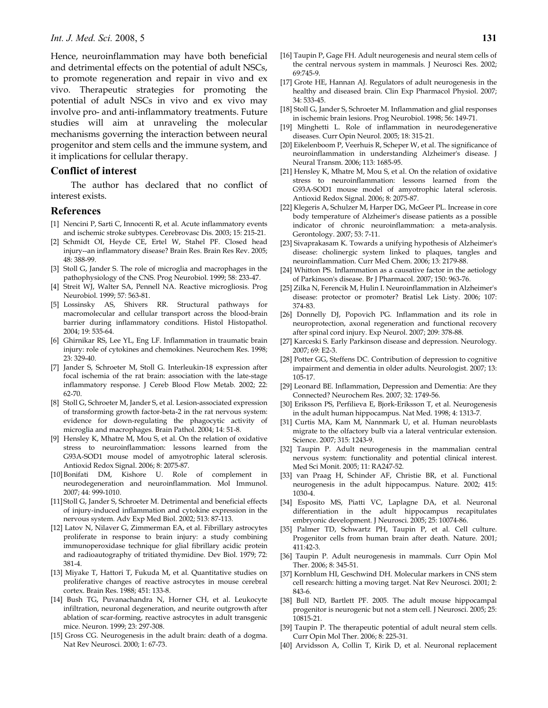Hence, neuroinflammation may have both beneficial and detrimental effects on the potential of adult NSCs, to promote regeneration and repair in vivo and ex vivo. Therapeutic strategies for promoting the potential of adult NSCs in vivo and ex vivo may involve pro- and anti-inflammatory treatments. Future studies will aim at unraveling the molecular mechanisms governing the interaction between neural progenitor and stem cells and the immune system, and it implications for cellular therapy.

## **Conflict of interest**

The author has declared that no conflict of interest exists.

#### **References**

- [1] Nencini P, Sarti C, Innocenti R, et al. Acute inflammatory events and ischemic stroke subtypes. Cerebrovasc Dis. 2003; 15: 215-21.
- [2] Schmidt OI, Heyde CE, Ertel W, Stahel PF. Closed head injury--an inflammatory disease? Brain Res. Brain Res Rev. 2005; 48: 388-99.
- [3] Stoll G, Jander S. The role of microglia and macrophages in the pathophysiology of the CNS. Prog Neurobiol. 1999; 58: 233-47.
- [4] Streit WJ, Walter SA, Pennell NA. Reactive microgliosis. Prog Neurobiol. 1999; 57: 563-81.
- [5] Lossinsky AS, Shivers RR. Structural pathways for macromolecular and cellular transport across the blood-brain barrier during inflammatory conditions. Histol Histopathol. 2004; 19: 535-64.
- [6] Ghirnikar RS, Lee YL, Eng LF. Inflammation in traumatic brain injury: role of cytokines and chemokines. Neurochem Res. 1998; 23: 329-40.
- [7] Jander S, Schroeter M, Stoll G. Interleukin-18 expression after focal ischemia of the rat brain: association with the late-stage inflammatory response. J Cereb Blood Flow Metab. 2002; 22: 62-70.
- [8] Stoll G, Schroeter M, Jander S, et al. Lesion-associated expression of transforming growth factor-beta-2 in the rat nervous system: evidence for down-regulating the phagocytic activity of microglia and macrophages. Brain Pathol. 2004; 14: 51-8.
- [9] Hensley K, Mhatre M, Mou S, et al. On the relation of oxidative stress to neuroinflammation: lessons learned from the G93A-SOD1 mouse model of amyotrophic lateral sclerosis. Antioxid Redox Signal. 2006; 8: 2075-87.
- [10] Bonifati DM, Kishore U. Role of complement in neurodegeneration and neuroinflammation. Mol Immunol. 2007; 44: 999-1010.
- [11] Stoll G, Jander S, Schroeter M. Detrimental and beneficial effects of injury-induced inflammation and cytokine expression in the nervous system. Adv Exp Med Biol. 2002; 513: 87-113.
- [12] Latov N, Nilaver G, Zimmerman EA, et al. Fibrillary astrocytes proliferate in response to brain injury: a study combining immunoperoxidase technique for glial fibrillary acidic protein and radioautography of tritiated thymidine. Dev Biol. 1979; 72: 381-4.
- [13] Miyake T, Hattori T, Fukuda M, et al. Quantitative studies on proliferative changes of reactive astrocytes in mouse cerebral cortex. Brain Res. 1988; 451: 133-8.
- [14] Bush TG, Puvanachandra N, Horner CH, et al. Leukocyte infiltration, neuronal degeneration, and neurite outgrowth after ablation of scar-forming, reactive astrocytes in adult transgenic mice. Neuron. 1999; 23: 297-308.
- [15] Gross CG. Neurogenesis in the adult brain: death of a dogma. Nat Rev Neurosci. 2000; 1: 67-73.
- [16] Taupin P, Gage FH. Adult neurogenesis and neural stem cells of the central nervous system in mammals. J Neurosci Res. 2002; 69:745-9.
- [17] Grote HE, Hannan AJ. Regulators of adult neurogenesis in the healthy and diseased brain. Clin Exp Pharmacol Physiol. 2007; 34: 533-45.
- [18] Stoll G, Jander S, Schroeter M. Inflammation and glial responses in ischemic brain lesions. Prog Neurobiol. 1998; 56: 149-71.
- [19] Minghetti L. Role of inflammation in neurodegenerative diseases. Curr Opin Neurol. 2005; 18: 315-21.
- [20] Eikelenboom P, Veerhuis R, Scheper W, et al. The significance of neuroinflammation in understanding Alzheimer's disease. J Neural Transm. 2006; 113: 1685-95.
- [21] Hensley K, Mhatre M, Mou S, et al. On the relation of oxidative stress to neuroinflammation: lessons learned from the G93A-SOD1 mouse model of amyotrophic lateral sclerosis. Antioxid Redox Signal. 2006; 8: 2075-87.
- [22] Klegeris A, Schulzer M, Harper DG, McGeer PL. Increase in core body temperature of Alzheimer's disease patients as a possible indicator of chronic neuroinflammation: a meta-analysis. Gerontology. 2007; 53: 7-11.
- [23] Sivaprakasam K. Towards a unifying hypothesis of Alzheimer's disease: cholinergic system linked to plaques, tangles and neuroinflammation. Curr Med Chem. 2006; 13: 2179-88.
- [24] Whitton PS. Inflammation as a causative factor in the aetiology of Parkinson's disease. Br J Pharmacol. 2007; 150: 963-76.
- [25] Zilka N, Ferencik M, Hulin I. Neuroinflammation in Alzheimer's disease: protector or promoter? Bratisl Lek Listy. 2006; 107: 374-83.
- [26] Donnelly DJ, Popovich PG. Inflammation and its role in neuroprotection, axonal regeneration and functional recovery after spinal cord injury. Exp Neurol. 2007; 209: 378-88.
- [27] Karceski S. Early Parkinson disease and depression. Neurology. 2007; 69: E2-3.
- [28] Potter GG, Steffens DC. Contribution of depression to cognitive impairment and dementia in older adults. Neurologist. 2007; 13: 105-17.
- [29] Leonard BE. Inflammation, Depression and Dementia: Are they Connected? Neurochem Res. 2007; 32: 1749-56.
- [30] Eriksson PS, Perfilieva E, Bjork-Eriksson T, et al. Neurogenesis in the adult human hippocampus. Nat Med. 1998; 4: 1313-7.
- [31] Curtis MA, Kam M, Nannmark U, et al. Human neuroblasts migrate to the olfactory bulb via a lateral ventricular extension. Science. 2007; 315: 1243-9.
- [32] Taupin P. Adult neurogenesis in the mammalian central nervous system: functionality and potential clinical interest. Med Sci Monit. 2005; 11: RA247-52.
- [33] van Praag H, Schinder AF, Christie BR, et al. Functional neurogenesis in the adult hippocampus. Nature. 2002; 415: 1030-4.
- [34] Esposito MS, Piatti VC, Laplagne DA, et al. Neuronal differentiation in the adult hippocampus recapitulates embryonic development. J Neurosci. 2005; 25: 10074-86.
- [35] Palmer TD, Schwartz PH, Taupin P, et al. Cell culture. Progenitor cells from human brain after death. Nature. 2001; 411:42-3.
- [36] Taupin P. Adult neurogenesis in mammals. Curr Opin Mol Ther. 2006; 8: 345-51.
- [37] Kornblum HI, Geschwind DH. Molecular markers in CNS stem cell research: hitting a moving target. Nat Rev Neurosci. 2001; 2: 843-6.
- [38] Bull ND, Bartlett PF. 2005. The adult mouse hippocampal progenitor is neurogenic but not a stem cell. J Neurosci. 2005; 25: 10815-21.
- [39] Taupin P. The therapeutic potential of adult neural stem cells. Curr Opin Mol Ther. 2006; 8: 225-31.
- [40] Arvidsson A, Collin T, Kirik D, et al. Neuronal replacement